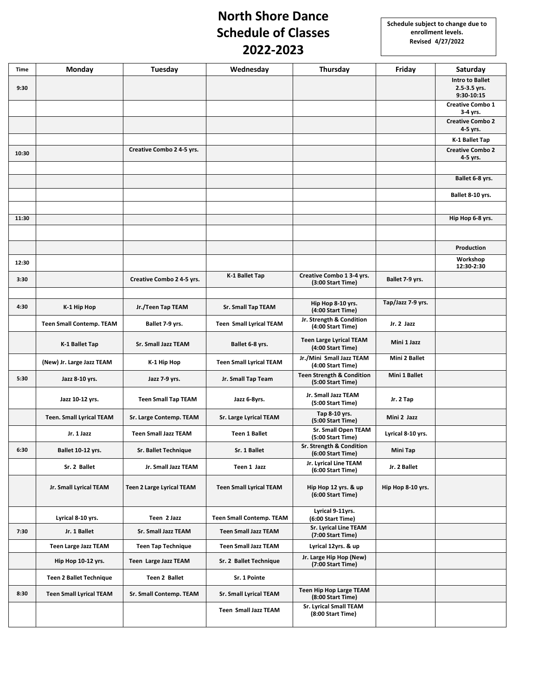## **North Shore Dance Schedule of Classes 2022-2023**

| Time  | <b>Monday</b>                   | Tuesday                          | Wednesday                       | Thursday                                                  | Friday            | Saturday                                             |
|-------|---------------------------------|----------------------------------|---------------------------------|-----------------------------------------------------------|-------------------|------------------------------------------------------|
| 9:30  |                                 |                                  |                                 |                                                           |                   | <b>Intro to Ballet</b><br>2.5-3.5 yrs.<br>9:30-10:15 |
|       |                                 |                                  |                                 |                                                           |                   | <b>Creative Combo 1</b><br>3-4 yrs.                  |
|       |                                 |                                  |                                 |                                                           |                   | <b>Creative Combo 2</b><br>4-5 yrs.                  |
|       |                                 |                                  |                                 |                                                           |                   | K-1 Ballet Tap                                       |
| 10:30 |                                 | Creative Combo 2 4-5 yrs.        |                                 |                                                           |                   | <b>Creative Combo 2</b><br>4-5 yrs.                  |
|       |                                 |                                  |                                 |                                                           |                   |                                                      |
|       |                                 |                                  |                                 |                                                           |                   | Ballet 6-8 yrs.                                      |
|       |                                 |                                  |                                 |                                                           |                   | Ballet 8-10 yrs.                                     |
|       |                                 |                                  |                                 |                                                           |                   |                                                      |
| 11:30 |                                 |                                  |                                 |                                                           |                   | Hip Hop 6-8 yrs.                                     |
|       |                                 |                                  |                                 |                                                           |                   |                                                      |
|       |                                 |                                  |                                 |                                                           |                   | Production<br>Workshop                               |
| 12:30 |                                 |                                  |                                 |                                                           |                   | 12:30-2:30                                           |
| 3:30  |                                 | Creative Combo 2 4-5 yrs.        | K-1 Ballet Tap                  | Creative Combo 1 3-4 yrs.<br>(3:00 Start Time)            | Ballet 7-9 yrs.   |                                                      |
|       |                                 |                                  |                                 |                                                           | Tap/Jazz 7-9 yrs. |                                                      |
| 4:30  | K-1 Hip Hop                     | Jr./Teen Tap TEAM                | <b>Sr. Small Tap TEAM</b>       | Hip Hop 8-10 yrs.<br>(4:00 Start Time)                    |                   |                                                      |
|       | <b>Teen Small Contemp. TEAM</b> | Ballet 7-9 yrs.                  | <b>Teen Small Lyrical TEAM</b>  | Jr. Strength & Condition<br>(4:00 Start Time)             | Jr. 2 Jazz        |                                                      |
|       | K-1 Ballet Tap                  | Sr. Small Jazz TEAM              | Ballet 6-8 yrs.                 | <b>Teen Large Lyrical TEAM</b><br>(4:00 Start Time)       | Mini 1 Jazz       |                                                      |
|       | (New) Jr. Large Jazz TEAM       | K-1 Hip Hop                      | <b>Teen Small Lyrical TEAM</b>  | Jr./Mini Small Jazz TEAM<br>(4:00 Start Time)             | Mini 2 Ballet     |                                                      |
| 5:30  | Jazz 8-10 yrs.                  | Jazz 7-9 yrs.                    | Jr. Small Tap Team              | <b>Teen Strength &amp; Condition</b><br>(5:00 Start Time) | Mini 1 Ballet     |                                                      |
|       | Jazz 10-12 yrs.                 | <b>Teen Small Tap TEAM</b>       | Jazz 6-8yrs.                    | Jr. Small Jazz TEAM<br>(5:00 Start Time)                  | Jr. 2 Tap         |                                                      |
|       | <b>Teen. Small Lyrical TEAM</b> | Sr. Large Contemp. TEAM          | Sr. Large Lyrical TEAM          | Tap 8-10 yrs.<br>(5:00 Start Time)                        | Mini 2 Jazz       |                                                      |
|       | Jr. 1 Jazz                      | <b>Teen Small Jazz TEAM</b>      | <b>Teen 1 Ballet</b>            | <b>Sr. Small Open TEAM</b><br>(5:00 Start Time)           | Lyrical 8-10 yrs. |                                                      |
| 6:30  | Ballet 10-12 yrs.               | Sr. Ballet Technique             | Sr. 1 Ballet                    | Sr. Strength & Condition<br>(6:00 Start Time)             | Mini Tap          |                                                      |
|       | Sr. 2 Ballet                    | Jr. Small Jazz TEAM              | Teen 1 Jazz                     | Jr. Lyrical Line TEAM<br>(6:00 Start Time)                | Jr. 2 Ballet      |                                                      |
|       | Jr. Small Lyrical TEAM          | <b>Teen 2 Large Lyrical TEAM</b> | <b>Teen Small Lyrical TEAM</b>  | Hip Hop 12 yrs. & up<br>(6:00 Start Time)                 | Hip Hop 8-10 yrs. |                                                      |
|       | Lyrical 8-10 yrs.               | Teen 2 Jazz                      | <b>Teen Small Contemp. TEAM</b> | Lyrical 9-11yrs.<br>(6:00 Start Time)                     |                   |                                                      |
| 7:30  | Jr. 1 Ballet                    | Sr. Small Jazz TEAM              | <b>Teen Small Jazz TEAM</b>     | <b>Sr. Lyrical Line TEAM</b><br>(7:00 Start Time)         |                   |                                                      |
|       | <b>Teen Large Jazz TEAM</b>     | <b>Teen Tap Technique</b>        | <b>Teen Small Jazz TEAM</b>     | Lyrical 12yrs. & up                                       |                   |                                                      |
|       | Hip Hop 10-12 yrs.              | Teen Large Jazz TEAM             | Sr. 2 Ballet Technique          | Jr. Large Hip Hop (New)<br>(7:00 Start Time)              |                   |                                                      |
|       | <b>Teen 2 Ballet Technique</b>  | Teen 2 Ballet                    | Sr. 1 Pointe                    |                                                           |                   |                                                      |
| 8:30  | <b>Teen Small Lyrical TEAM</b>  | Sr. Small Contemp. TEAM          | <b>Sr. Small Lyrical TEAM</b>   | Teen Hip Hop Large TEAM<br>(8:00 Start Time)              |                   |                                                      |
|       |                                 |                                  | <b>Teen Small Jazz TEAM</b>     | <b>Sr. Lyrical Small TEAM</b><br>(8:00 Start Time)        |                   |                                                      |